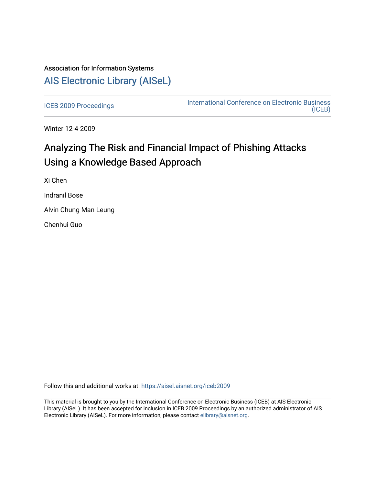## Association for Information Systems [AIS Electronic Library \(AISeL\)](https://aisel.aisnet.org/)

[ICEB 2009 Proceedings](https://aisel.aisnet.org/iceb2009) **International Conference on Electronic Business** [\(ICEB\)](https://aisel.aisnet.org/iceb) 

Winter 12-4-2009

# Analyzing The Risk and Financial Impact of Phishing Attacks Using a Knowledge Based Approach

Xi Chen Indranil Bose Alvin Chung Man Leung Chenhui Guo

Follow this and additional works at: [https://aisel.aisnet.org/iceb2009](https://aisel.aisnet.org/iceb2009?utm_source=aisel.aisnet.org%2Ficeb2009%2F37&utm_medium=PDF&utm_campaign=PDFCoverPages)

This material is brought to you by the International Conference on Electronic Business (ICEB) at AIS Electronic Library (AISeL). It has been accepted for inclusion in ICEB 2009 Proceedings by an authorized administrator of AIS Electronic Library (AISeL). For more information, please contact [elibrary@aisnet.org.](mailto:elibrary@aisnet.org%3E)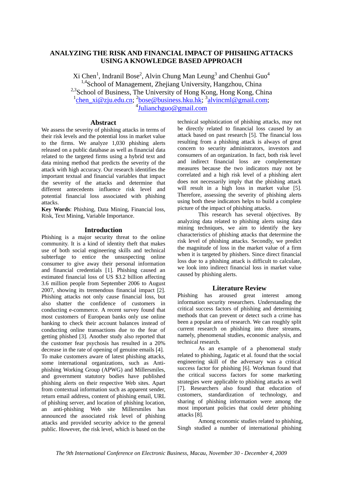## **ANALYZING THE RISK AND FINANCIAL IMPACT OF PHISHING ATTACKS USING A KNOWLEDGE BASED APPROACH**

Xi Chen<sup>1</sup>, Indranil Bose<sup>2</sup>, Alvin Chung Man Leung<sup>3</sup> and Chenhui Guo<sup>4</sup> <sup>1,4</sup>School of Management, Zhejiang University, Hangzhou, China <sup>2,3</sup>School of Business, The University of Hong Kong, Hong Kong, China <sup>1</sup>chen\_xi@zju.edu.cn; <sup>2</sup>bose@business.hku.hk; <sup>3</sup>alvincml@gmail.com;<br><sup>4</sup>Julianchguo@gmail.com

## **Abstract**

We assess the severity of phishing attacks in terms of their risk levels and the potential loss in market value to the firms. We analyze 1,030 phishing alerts released on a public database as well as financial data related to the targeted firms using a hybrid text and data mining method that predicts the severity of the attack with high accuracy. Our research identifies the important textual and financial variables that impact the severity of the attacks and determine that different antecedents influence risk level and potential financial loss associated with phishing attacks.

**Key Words**: Phishing, Data Mining, Financial loss, Risk, Text Mining, Variable Importance.

## **Introduction**

Phishing is a major security threat to the online community. It is a kind of identity theft that makes use of both social engineering skills and technical subterfuge to entice the unsuspecting online consumer to give away their personal information and financial credentials [1]. Phishing caused an estimated financial loss of US \$3.2 billion affecting 3.6 million people from September 2006 to August 2007, showing its tremendous financial impact [2]. Phishing attacks not only cause financial loss, but also shatter the confidence of customers in conducting e-commerce. A recent survey found that most customers of European banks only use online banking to check their account balances instead of conducting online transactions due to the fear of getting phished [3]. Another study also reported that the customer fear psychosis has resulted in a 20% decrease in the rate of opening of genuine emails [4]. To make customers aware of latest phishing attacks, some international organizations, such as Antiphishing Working Group (APWG) and Millersmiles, and government statutory bodies have published phishing alerts on their respective Web sites. Apart from contextual information such as apparent sender, return email address, content of phishing email, URL of phishing server, and location of phishing location, an anti-phishing Web site Millersmiles has announced the associated risk level of phishing attacks and provided security advice to the general public. However, the risk level, which is based on the

technical sophistication of phishing attacks, may not be directly related to financial loss caused by an attack based on past research [5]. The financial loss resulting from a phishing attack is always of great concern to security administrators, investors and consumers of an organization. In fact, both risk level and indirect financial loss are complementary measures because the two indicators may not be correlated and a high risk level of a phishing alert does not necessarily imply that the phishing attack will result in a high loss in market value [5]. Therefore, assessing the severity of phishing alerts using both these indicators helps to build a complete picture of the impact of phishing attacks.

This research has several objectives. By analyzing data related to phishing alerts using data mining techniques, we aim to identify the key characteristics of phishing attacks that determine the risk level of phishing attacks. Secondly, we predict the magnitude of loss in the market value of a firm when it is targeted by phishers. Since direct financial loss due to a phishing attack is difficult to calculate, we look into indirect financial loss in market value caused by phishing alerts.

## **Literature Review**

Phishing has aroused great interest among information security researchers. Understanding the critical success factors of phishing and determining methods that can prevent or detect such a crime has been a popular area of research. We can roughly split current research on phishing into three streams, namely, phenomenal studies, economic analysis, and technical research.

As an example of a phenomenal study related to phishing, Jagatic et al. found that the social engineering skill of the adversary was a critical success factor for phishing [6]. Workman found that the critical success factors for some marketing strategies were applicable to phishing attacks as well [7]. Researchers also found that education of customers, standardization of technology, and sharing of phishing information were among the most important policies that could deter phishing attacks [8].

Among economic studies related to phishing, Singh studied a number of international phishing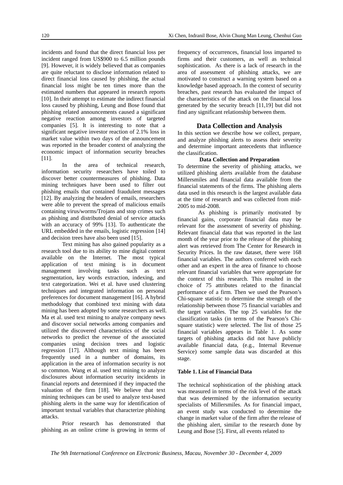incidents and found that the direct financial loss per incident ranged from US\$900 to 6.5 million pounds [9]. However, it is widely believed that as companies are quite reluctant to disclose information related to direct financial loss caused by phishing, the actual financial loss might be ten times more than the estimated numbers that appeared in research reports [10]. In their attempt to estimate the indirect financial loss caused by phishing, Leung and Bose found that phishing related announcements caused a significant negative reaction among investors of targeted companies [5]. It is interesting to note that a significant negative investor reaction of 2.1% loss in market value within two days of the announcement was reported in the broader context of analyzing the economic impact of information security breaches [11].

the area of technical research, information security researchers have toiled to discover better countermeasures of phishing. Data mining techniques have been used to filter out phishing emails that contained fraudulent messages [12]. By analyzing the headers of emails, researchers were able to prevent the spread of malicious emails containing virus/worms/Trojans and stop crimes such as phishing and distributed denial of service attacks with an accuracy of 99% [13]. To authenticate the URL embedded in the emails, logistic regression [14] and decision trees have also been used [15].

Text mining has also gained popularity as a research tool due to its ability to mine digital content available on the Internet. The most typical application of text mining is in document management involving tasks such as text segmentation, key words extraction, indexing, and text categorization. Wei et al. have used clustering techniques and integrated information on personal preferences for document management [16]. A hybrid methodology that combined text mining with data mining has been adopted by some researchers as well. Ma et al. used text mining to analyze company news and discover social networks among companies and utilized the discovered characteristics of the social networks to predict the revenue of the associated companies using decision trees and logistic regression [17]. Although text mining has been frequently used in a number of domains, its application in the area of information security is not so common. Wang et al. used text mining to analyze disclosures about information security incidents in financial reports and determined if they impacted the valuation of the firm [18]. We believe that text mining techniques can be used to analyze text-based phishing alerts in the same way for identification of important textual variables that characterize phishing attacks.

Prior research has demonstrated that phishing as an online crime is growing in terms of frequency of occurrences, financial loss imparted to firms and their customers, as well as technical sophistication. As there is a lack of research in the area of assessment of phishing attacks, we are motivated to construct a warning system based on a knowledge based approach. In the context of security breaches, past research has evaluated the impact of the characteristics of the attack on the financial loss generated by the security breach [11,19] but did not find any significant relationship between them.

## **Data Collection and Analysis**

In this section we describe how we collect, prepare, and analyze phishing alerts to assess their severity and determine important antecedents that influence the classification.

#### **Data Collection and Preparation**

To determine the severity of phishing attacks, we utilized phishing alerts available from the database Millersmiles and financial data available from the financial statements of the firms. The phishing alerts data used in this research is the largest available data at the time of research and was collected from mid-2005 to mid-2008.

As phishing is primarily motivated by financial gains, corporate financial data may be relevant for the assessment of severity of phishing. Relevant financial data that was reported in the last month of the year prior to the release of the phishing alert was retrieved from The Center for Research in Security Prices. In the raw dataset, there were 168 financial variables. The authors conferred with each other and an expert in the area of finance to choose relevant financial variables that were appropriate for the context of this research. This resulted in the choice of 75 attributes related to the financial performance of a firm. Then we used the Pearson's Chi-square statistic to determine the strength of the relationship between those 75 financial variables and the target variables. The top 25 variables for the classification tasks (in terms of the Pearson's Chisquare statistic) were selected. The list of those 25 financial variables appears in Table 1. As some targets of phishing attacks did not have publicly available financial data, (e.g., Internal Revenue Service) some sample data was discarded at this stage.

#### **Table 1. List of Financial Data**

The technical sophistication of the phishing attack was measured in terms of the risk level of the attack that was determined by the information security specialists of Millersmiles. As for financial impact, an event study was conducted to determine the change in market value of the firm after the release of the phishing alert, similar to the research done by Leung and Bose [5]. First, all events related to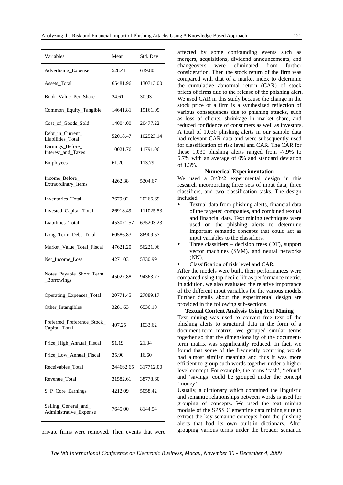| Variables                                      | Mean      | Std. Dev  |
|------------------------------------------------|-----------|-----------|
| Advertising_Expense                            | 528.41    | 639.80    |
| Assets_Total                                   | 65481.96  | 130713.00 |
| Book_Value_Per_Share                           | 24.61     | 30.93     |
| Common_Equity_Tangible                         | 14641.81  | 19161.09  |
| Cost_of_Goods_Sold                             | 14004.00  | 20477.22  |
| Debt_in_Current_<br>Liabilities_Total          | 52018.47  | 102523.14 |
| Earnings_Before_<br>Interest_and_Taxes         | 10021.76  | 11791.06  |
| Employees                                      | 61.20     | 113.79    |
| Income_Before_<br>Extraordinary_Items          | 4262.38   | 5304.67   |
| Inventories_Total                              | 7679.02   | 20266.69  |
| Invested_Capital_Total                         | 86918.49  | 111025.53 |
| Liabilities_Total                              | 453071.57 | 635203.23 |
| Long_Term_Debt_Total                           | 60586.83  | 86909.57  |
| Market_Value_Total_Fiscal                      | 47621.20  | 56221.96  |
| Net Income Loss                                | 4271.03   | 5330.99   |
| Notes_Payable_Short_Term<br>_Borrowings        | 45027.88  | 94363.77  |
| Operating_Expenses_Total                       | 20771.45  | 27889.17  |
| Other_Intangibles                              | 3281.63   | 6536.10   |
| Preferred Preference Stock<br>Capital_Total    | 407.25    | 1033.62   |
| Price_High_Annual_Fiscal                       | 51.19     | 21.34     |
| Price Low Annual Fiscal                        | 35.90     | 16.60     |
| Receivables_Total                              | 244662.65 | 317712.00 |
| Revenue_Total                                  | 31582.61  | 38778.60  |
| S_P_Core_Earnings                              | 4212.09   | 5058.42   |
| Selling_General_and_<br>Administrative_Expense | 7645.00   | 8144.54   |

private firms were removed. Then events that were

affected by some confounding events such as mergers, acquisitions, dividend announcements, and changeovers were eliminated from further consideration. Then the stock return of the firm was compared with that of a market index to determine the cumulative abnormal return (CAR) of stock prices of firms due to the release of the phishing alert. We used CAR in this study because the change in the stock price of a firm is a synthesized reflection of various consequences due to phishing attacks, such as loss of clients, shrinkage in market share, and reduced confidence of consumers as well as investors. A total of 1,030 phishing alerts in our sample data had relevant CAR data and were subsequently used for classification of risk level and CAR. The CAR for these 1,030 phishing alerts ranged from -7.9% to 5.7% with an average of 0% and standard deviation of 1.3%.

#### **Numerical Experimentation**

We used a  $3\times3\times2$  experimental design in this research incorporating three sets of input data, three classifiers, and two classification tasks. The design included:

- Textual data from phishing alerts, financial data of the targeted companies, and combined textual and financial data. Text mining techniques were used on the phishing alerts to determine important semantic concepts that could act as input variables to the classifiers.
- Three classifiers  $-$  decision trees (DT), support vector machines (SVM), and neural networks (NN).
- Classification of risk level and CAR.

After the models were built, their performances were compared using top decile lift as performance metric. In addition, we also evaluated the relative importance of the different input variables for the various models. Further details about the experimental design are provided in the following sub-sections.

#### **Textual Content Analysis Using Text Mining**

Text mining was used to convert free text of the phishing alerts to structural data in the form of a document-term matrix. We grouped similar terms together so that the dimensionality of the documentterm matrix was significantly reduced. In fact, we found that some of the frequently occurring words had almost similar meaning and thus it was more efficient to group such words together under a higher level concept. For example, the terms 'cash', 'refund', and 'savings' could be grouped under the concept 'money'.

Usually, a dictionary which contained the linguistic and semantic relationships between words is used for grouping of concepts. We used the text mining module of the SPSS Clementine data mining suite to extract the key semantic concepts from the phishing alerts that had its own built-in dictionary. After grouping various terms under the broader semantic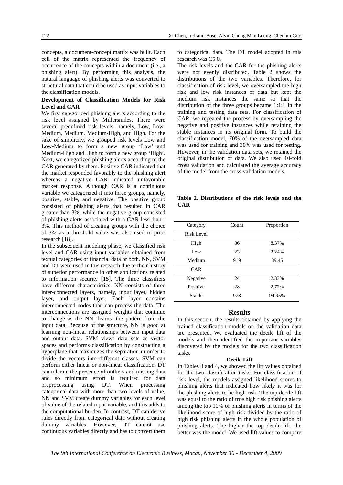concepts, a document-concept matrix was built. Each cell of the matrix represented the frequency of occurrence of the concepts within a document (i.e., a phishing alert). By performing this analysis, the natural language of phishing alerts was converted to structural data that could be used as input variables to the classification models.

#### **Development of Classification Models for Risk Level and CAR**

We first categorized phishing alerts according to the risk level assigned by Millersmiles. There were several predefined risk levels, namely, Low, Low-Medium, Medium, Medium-High, and High. For the sake of simplicity, we grouped risk levels Low and Low-Medium to form a new group 'Low' and Medium-High and High to form a new group 'High'. Next, we categorized phishing alerts according to the CAR generated by them. Positive CAR indicated that the market responded favorably to the phishing alert whereas a negative CAR indicated unfavorable market response. Although CAR is a continuous variable we categorized it into three groups, namely, positive, stable, and negative. The positive group consisted of phishing alerts that resulted in CAR greater than 3%, while the negative group consisted of phishing alerts associated with a CAR less than - 3%. This method of creating groups with the choice of 3% as a threshold value was also used in prior research [18].

In the subsequent modeling phase, we classified risk level and CAR using input variables obtained from textual categories or financial data or both. NN, SVM, and DT were used in this research due to their history of superior performance in other applications related to information security [15]. The three classifiers have different characteristics. NN consists of three inter-connected layers, namely, input layer, hidden layer, and output layer. Each layer contains interconnected nodes than can process the data. The interconnections are assigned weights that continue to change as the NN 'learns' the pattern from the input data. Because of the structure, NN is good at learning non-linear relationships between input data and output data. SVM views data sets as vector spaces and performs classification by constructing a hyperplane that maximizes the separation in order to divide the vectors into different classes. SVM can perform either linear or non-linear classification. DT can tolerate the presence of outliers and missing data and so minimum effort is required for data preprocessing using DT. When processing categorical data with more than two levels of value, NN and SVM create dummy variables for each level of value of the related input variable, and this adds to the computational burden. In contrast, DT can derive rules directly from categorical data without creating dummy variables. However, DT cannot use continuous variables directly and has to convert them

to categorical data. The DT model adopted in this research was C5.0.

The risk levels and the CAR for the phishing alerts were not evenly distributed. Table 2 shows the distributions of the two variables. Therefore, for classification of risk level, we oversampled the high risk and low risk instances of data but kept the medium risk instances the same so that the distribution of the three groups became 1:1:1 in the training and testing data sets. For classification of CAR, we repeated the process by oversampling the negative and positive instances while retaining the stable instances in its original form. To build the classification model, 70% of the oversampled data was used for training and 30% was used for testing. However, in the validation data sets, we retained the original distribution of data. We also used 10-fold cross validation and calculated the average accuracy of the model from the cross-validation models.

**Table 2. Distributions of the risk levels and the CAR** 

| Category   | Count | Proportion |
|------------|-------|------------|
| Risk Level |       |            |
| High       | 86    | 8.37%      |
| Low        | 23    | 2.24%      |
| Medium     | 919   | 89.45      |
| CAR        |       |            |
| Negative   | 24    | 2.33%      |
| Positive   | 28    | 2.72%      |
| Stable     | 978   | 94.95%     |

## **Results**

In this section, the results obtained by applying the trained classification models on the validation data are presented. We evaluated the decile lift of the models and then identified the important variables discovered by the models for the two classification tasks.

#### **Decile Lift**

In Tables 3 and 4, we showed the lift values obtained for the two classification tasks. For classification of risk level, the models assigned likelihood scores to phishing alerts that indicated how likely it was for the phishing alerts to be high risk. The top decile lift was equal to the ratio of true high risk phishing alerts among the top 10% of phishing alerts in terms of the likelihood score of high risk divided by the ratio of high risk phishing alerts in the whole population of phishing alerts. The higher the top decile lift, the better was the model. We used lift values to compare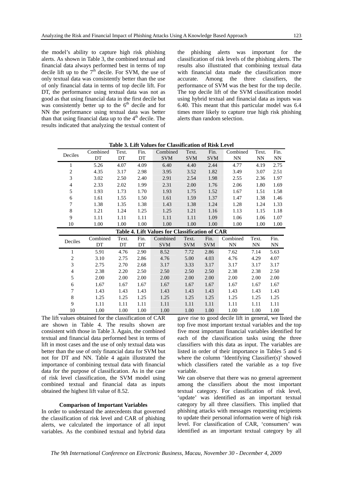the model's ability to capture high risk phishing alerts. As shown in Table 3, the combined textual and financial data always performed best in terms of top decile lift up to the  $7<sup>th</sup>$  decile. For SVM, the use of only textual data was consistently better than the use of only financial data in terms of top decile lift. For DT, the performance using textual data was not as good as that using financial data in the first decile but was consistently better up to the  $6<sup>th</sup>$  decile and for NN the performance using textual data was better than that using financial data up to the  $4<sup>th</sup>$  decile. The results indicated that analyzing the textual content of the phishing alerts was important for the classification of risk levels of the phishing alerts. The results also illustrated that combining textual data with financial data made the classification more accurate. Among the three classifiers, the performance of SVM was the best for the top decile. The top decile lift of the SVM classification model using hybrid textual and financial data as inputs was 6.40. This meant that this particular model was 6.4 times more likely to capture true high risk phishing alerts than random selection.

| Deciles                                        | Combined<br>DT | Text.<br>DT | Fin.<br>DT | Combined<br><b>SVM</b> | Text.<br><b>SVM</b> | Fin.<br><b>SVM</b> | Combined<br>NN | Text.<br>NN | Fin.<br>NN |
|------------------------------------------------|----------------|-------------|------------|------------------------|---------------------|--------------------|----------------|-------------|------------|
| 1                                              | 5.26           | 4.07        | 4.09       | 6.40                   | 4.40                | 2.44               | 4.77           | 4.19        | 2.75       |
| $\overline{c}$                                 | 4.35           | 3.17        | 2.98       | 3.95                   | 3.52                | 1.82               | 3.49           | 3.07        | 2.51       |
| 3                                              | 3.02           | 2.50        | 2.40       | 2.91                   | 2.54                | 1.98               | 2.55           | 2.36        | 1.97       |
| 4                                              | 2.33           | 2.02        | 1.99       | 2.31                   | 2.00                | 1.76               | 2.06           | 1.80        | 1.69       |
| 5                                              | 1.93           | 1.73        | 1.70       | 1.93                   | 1.75                | 1.52               | 1.67           | 1.51        | 1.58       |
| 6                                              | 1.61           | 1.55        | 1.50       | 1.61                   | 1.59                | 1.37               | 1.47           | 1.38        | 1.46       |
| 7                                              | 1.38           | 1.35        | 1.38       | 1.43                   | 1.38                | 1.24               | 1.28           | 1.24        | 1.33       |
| 8                                              | 1.21           | 1.24        | 1.25       | 1.25                   | 1.21                | 1.16               | 1.13           | 1.15        | 1.18       |
| 9                                              | 1.11           | 1.11        | 1.11       | 1.11                   | 1.11                | 1.09               | 1.06           | 1.06        | 1.07       |
| 10                                             | 1.00           | 1.00        | 1.00       | 1.00                   | 1.00                | 1.00               | 1.00           | 1.00        | 1.00       |
| Table 4. Lift Values for Classification of CAR |                |             |            |                        |                     |                    |                |             |            |
|                                                |                |             |            |                        |                     |                    |                |             |            |
|                                                | Combined       | Text.       | Fin.       | Combined               | Text.               | Fin.               | Combined       | Text.       | Fin.       |
| Deciles                                        | DT             | DT          | DT         | <b>SVM</b>             | <b>SVM</b>          | <b>SVM</b>         | NN             | <b>NN</b>   | <b>NN</b>  |
| 1                                              | 5.91           | 4.76        | 2.90       | 8.52                   | 7.72                | 2.86               | 7.62           | 7.14        | 5.63       |
| $\overline{c}$                                 | 3.10           | 2.75        | 2.86       | 4.76                   | 5.00                | 4.03               | 4.76           | 4.29        | 4.07       |
| 3                                              | 2.75           | 2.70        | 2.68       | 3.17                   | 3.33                | 3.17               | 3.17           | 3.17        | 3.17       |
| 4                                              | 2.38           | 2.20        | 2.50       | 2.50                   | 2.50                | 2.50               | 2.38           | 2.38        | 2.50       |
| 5                                              | 2.00           | 2.00        | 2.00       | 2.00                   | 2.00                | 2.00               | 2.00           | 2.00        | 2.00       |
| 6                                              | 1.67           | 1.67        | 1.67       | 1.67                   | 1.67                | 1.67               | 1.67           | 1.67        | 1.67       |
| 7                                              | 1.43           | 1.43        | 1.43       | 1.43                   | 1.43                | 1.43               | 1.43           | 1.43        | 1.43       |
| 8                                              | 1.25           | 1.25        | 1.25       | 1.25                   | 1.25                | 1.25               | 1.25           | 1.25        | 1.25       |
| 9                                              | 1.11           | 1.11        | 1.11       | 1.11                   | 1.11                | 1.11               | 1.11           | 1.11        | 1.11       |

**Table 3. Lift Values for Classification of Risk Level** 

The lift values obtained for the classification of CAR are shown in Table 4. The results shown are consistent with those in Table 3. Again, the combined textual and financial data performed best in terms of lift in most cases and the use of only textual data was better than the use of only financial data for SVM but not for DT and NN. Table 4 again illustrated the importance of combining textual data with financial data for the purpose of classification. As in the case of risk level classification, the SVM model using combined textual and financial data as inputs obtained the highest lift value of 8.52.

#### **Comparison of Important Variables**

In order to understand the antecedents that governed the classification of risk level and CAR of phishing alerts, we calculated the importance of all input variables. As the combined textual and hybrid data

gave rise to good decile lift in general, we listed the top five most important textual variables and the top five most important financial variables identified for each of the classification tasks using the three classifiers with this data as input. The variables are listed in order of their importance in Tables 5 and 6 where the column 'Identifying Classifier(s)' showed which classifiers rated the variable as a top five variable.

We can observe that there was no general agreement among the classifiers about the most important textual category. For classification of risk level, 'update' was identified as an important textual category by all three classifiers. This implied that phishing attacks with messages requesting recipients to update their personal information were of high risk level. For classification of CAR, 'consumers' was identified as an important textual category by all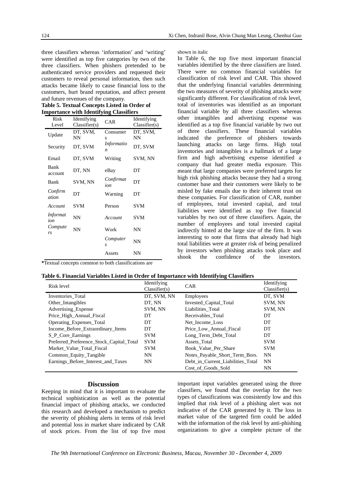three classifiers whereas 'information' and 'writing' were identified as top five categories by two of the three classifiers. When phishers pretended to be authenticated service providers and requested their customers to reveal personal information, then such attacks became likely to cause financial loss to the customers, hurt brand reputation, and affect present and future revenues of the company.

**Table 5. Textual Concepts Listed in Order of Importance with Identifying Classifiers** 

| Risk                   | Identifying   | <b>CAR</b>                            | Identifying   |
|------------------------|---------------|---------------------------------------|---------------|
| Level                  | Classifier(s) |                                       | Classifier(s) |
| Update                 | DT, SVM,      | Consumer                              | DT, SVM,      |
|                        | NN            | S                                     | NN            |
| Security               | DT, SVM       | <i>Informatio</i><br>$\boldsymbol{n}$ | DT, SVM       |
| Email                  | DT, SVM       | Writing                               | SVM, NN       |
| Bank<br>account        | DT, NN        | eBay                                  | DT            |
| <b>Bank</b>            | SVM, NN       | Confirmat<br>ion                      | DT            |
| Confirm<br>ation       | DΤ            | Warning                               | DT            |
| Account                | <b>SVM</b>    | Person                                | <b>SVM</b>    |
| <i>Informat</i><br>ion | NN            | Account                               | <b>SVM</b>    |
| Compute<br>rs          | NN            | Work                                  | NN            |
|                        |               | Computer<br>S                         | NΝ            |
|                        |               | Assets                                | NN            |

**\***Textual concepts common to both classifications are

shown in italic

In Table 6, the top five most important financial variables identified by the three classifiers are listed. There were no common financial variables for classification of risk level and CAR. This showed that the underlying financial variables determining the two measures of severity of phishing attacks were significantly different. For classification of risk level, total of inventories was identified as an important financial variable by all three classifiers whereas other intangibles and advertising expense was identified as a top five financial variable by two out of three classifiers. These financial variables indicated the preference of phishers towards launching attacks on large firms. High total inventories and intangibles is a hallmark of a large firm and high advertising expense identified a company that had greater media exposure. This meant that large companies were preferred targets for high risk phishing attacks because they had a strong customer base and their customers were likely to be misled by fake emails due to their inherent trust on these companies. For classification of CAR, number of employees, total invested capital, and total liabilities were identified as top five financial variables by two out of three classifiers. Again, the number of employees and total invested capital indirectly hinted at the large size of the firm. It was interesting to note that firms that already had high total liabilities were at greater risk of being penalized by investors when phishing attacks took place and shook the confidence of the investors.

| Table 6. Financial Variables Listed in Order of Importance with Identifying Classifiers |  |  |  |  |  |
|-----------------------------------------------------------------------------------------|--|--|--|--|--|
|-----------------------------------------------------------------------------------------|--|--|--|--|--|

| Risk level                               | Identifying<br>Classifier(s) | <b>CAR</b>                        | Identifying<br>Classifier(s) |
|------------------------------------------|------------------------------|-----------------------------------|------------------------------|
| Inventories Total                        | DT, SVM, NN                  | Employees                         | DT. SVM                      |
| Other Intangibles                        | DT, NN                       | Invested Capital Total            | SVM, NN                      |
| <b>Advertising Expense</b>               | SVM, NN                      | Liabilities_Total                 | SVM, NN                      |
| Price High Annual Fiscal                 | DT                           | Receivables Total                 | DT                           |
| Operating Expenses Total                 | DT                           | Net Income Loss                   | DT                           |
| Income Before Extraordinary Items        | DT                           | Price Low Annual Fiscal           | DT                           |
| S P Core Earnings                        | <b>SVM</b>                   | Long Term Debt Total              | DT                           |
| Preferred Preference Stock Capital Total | <b>SVM</b>                   | Assets Total                      | <b>SVM</b>                   |
| Market Value Total Fiscal                | <b>SVM</b>                   | Book Value Per Share              | <b>SVM</b>                   |
| Common_Equity_Tangible                   | <b>NN</b>                    | Notes Payable Short Term Bors.    | <b>NN</b>                    |
| Earnings Before Interest and Taxes       | <b>NN</b>                    | Debt in Current Liabilities Total | <b>NN</b>                    |
|                                          |                              | Cost of Goods Sold                | NN                           |

#### **Discussion**

Keeping in mind that it is important to evaluate the technical sophistication as well as the potential financial impact of phishing attacks, we conducted this research and developed a mechanism to predict the severity of phishing alerts in terms of risk level and potential loss in market share indicated by CAR of stock prices. From the list of top five most

important input variables generated using the three classifiers, we found that the overlap for the two types of classifications was consistently low and this implied that risk level of a phishing alert was not indicative of the CAR generated by it. The loss in market value of the targeted firm could be added with the information of the risk level by anti-phishing organizations to give a complete picture of the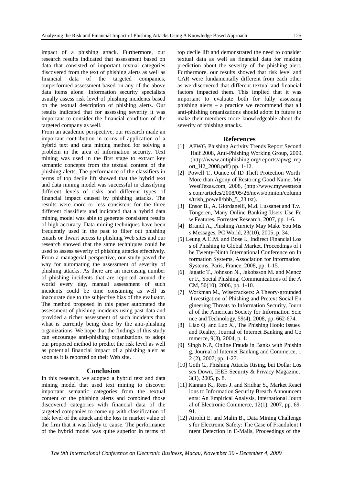impact of a phishing attack. Furthermore, our research results indicated that assessment based on data that consisted of important textual categories discovered from the text of phishing alerts as well as financial data of the targeted companies, outperformed assessment based on any of the above data items alone. Information security specialists usually assess risk level of phishing incidents based on the textual description of phishing alerts. Our results indicated that for assessing severity it was important to consider the financial condition of the targeted company as well.

From an academic perspective, our research made an important contribution in terms of application of a hybrid text and data mining method for solving a problem in the area of information security. Text mining was used in the first stage to extract key semantic concepts from the textual content of the phishing alerts. The performance of the classifiers in terms of top decile lift showed that the hybrid text and data mining model was successful in classifying different levels of risks and different types of financial impact caused by phishing attacks. The results were more or less consistent for the three different classifiers and indicated that a hybrid data mining model was able to generate consistent results of high accuracy. Data mining techniques have been frequently used in the past to filter out phishing emails or thwart access to phishing Web sites and our research showed that the same techniques could be used to assess severity of phishing attacks effectively. From a managerial perspective, our study paved the way for automating the assessment of severity of phishing attacks. As there are an increasing number of phishing incidents that are reported around the world every day, manual assessment of such incidents could be time consuming as well as inaccurate due to the subjective bias of the evaluator. The method proposed in this paper automated the assessment of phishing incidents using past data and provided a richer assessment of such incidents than what is currently being done by the anti-phishing organizations. We hope that the findings of this study can encourage anti-phishing organizations to adopt our proposed method to predict the risk level as well as potential financial impact of a phishing alert as soon as it is reported on their Web site.

#### **Conclusion**

In this research, we adopted a hybrid text and data mining model that used text mining to discover important semantic categories from the textual content of the phishing alerts and combined those discovered categories with financial data of the targeted companies to come up with classification of risk level of the attack and the loss in market value of the firm that it was likely to cause. The performance of the hybrid model was quite superior in terms of

top decile lift and demonstrated the need to consider textual data as well as financial data for making prediction about the severity of the phishing alert. Furthermore, our results showed that risk level and CAR were fundamentally different from each other as we discovered that different textual and financial factors impacted them. This implied that it was important to evaluate both for fully assessing phishing alerts – a practice we recommend that all anti-phishing organizations should adopt in future to make their members more knowledgeable about the severity of phishing attacks.

#### **References**

- [1] APWG, Phishing Activity Trends Report Second Half 2008, Anti-Phishing Working Group, 2009, (http://www.antiphishing.org/reports/apwg\_rep ort\_H2\_2008.pdf) pp. 1-12.
- [2] Powell T., Ounce of ID Theft Protection Worth More than Agony of Restoring Good Name, My WestTexas.com, 2008, (http://www.mywesttexa s.com/articles/2008/05/26/news/opinion/column s/trish\_powell/bbb\_5\_23.txt).
- [3] Ensor B., A. Giordanelli, M.d. Lussanet and T.v. Tongeren, Many Online Banking Users Use Fe w Features, Forrester Research, 2007, pp. 1-6.
- [4] Brandt A., Phishing Anxiety May Make You Mis s Messages, PC World, 23(10), 2005, p. 34.
- [5] Leung A.C.M. and Bose I., Indirect Financial Los s of Phishing to Global Market, Proceedings of t he Twenty-Ninth International Conference on In formation Systems, Association for Information Systems, Paris, France, 2008, pp. 1-15.
- [6] Jagatic T., Johnson N., Jakobsson M. and Mencz er F., Social Phishing, Communications of the A CM, 50(10), 2006, pp. 1-10.
- [7] Workman M., Wisecrackers: A Theory-grounded Investigation of Phishing and Pretext Social En gineering Threats to Information Security, Journ al of the American Society for Information Scie nce and Technology, 59(4), 2008, pp. 662-674.
- [8] Liao Q. and Luo X., The Phishing Hook: Issues and Reality, Journal of Internet Banking and Co mmerce, 9(3), 2004, p. 1.
- [9] Singh N.P., Online Frauds in Banks with Phishin g, Journal of Internet Banking and Commerce, 1 2 (2), 2007, pp. 1-27.
- [10] Goth G., Phishing Attacks Rising, but Dollar Los ses Down, IEEE Security & Privacy Magazine, 3(1), 2005, p. 8.
- [11] Kannan K., Rees J. and Sridhar S., Market React ions to Information Security Breach Announcem ents: An Empirical Analysis, International Journ al of Electronic Commerce, 12(1), 2007, pp. 69- 91.
- [12] Airoldi E. and Malin B., Data Mining Challenge s for Electronic Safety: The Case of Fraudulent I ntent Detection in E-Mails, Proceedings of the